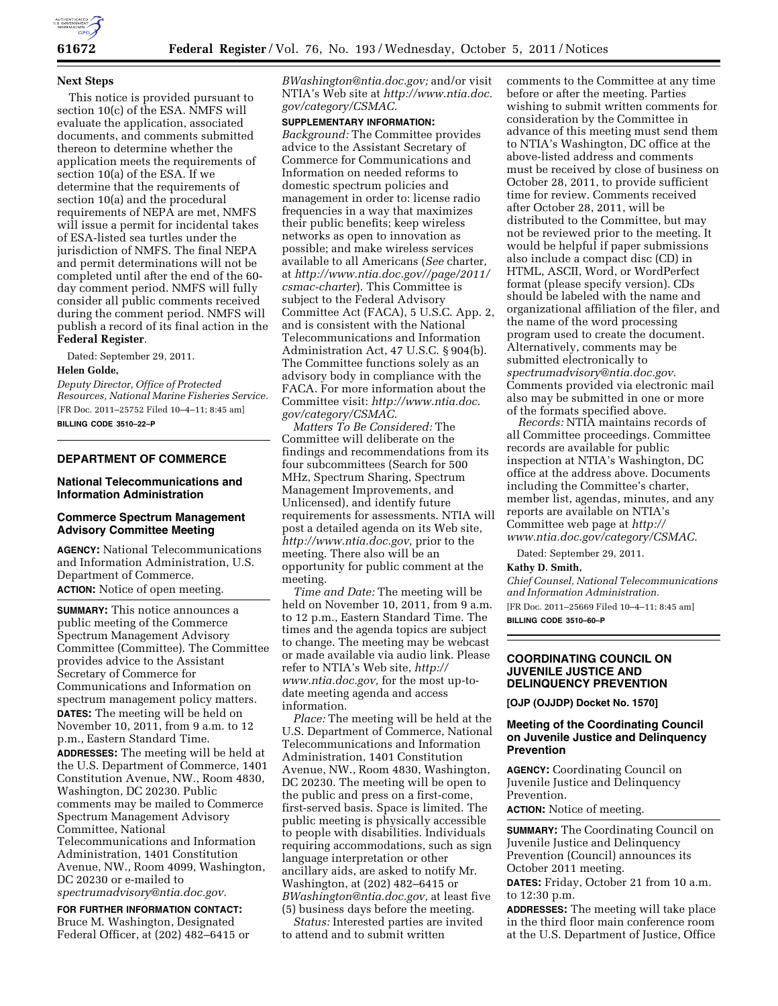

## **Next Steps**

This notice is provided pursuant to section 10(c) of the ESA. NMFS will evaluate the application, associated documents, and comments submitted thereon to determine whether the application meets the requirements of section 10(a) of the ESA. If we determine that the requirements of section 10(a) and the procedural requirements of NEPA are met, NMFS will issue a permit for incidental takes of ESA-listed sea turtles under the jurisdiction of NMFS. The final NEPA and permit determinations will not be completed until after the end of the 60 day comment period. NMFS will fully consider all public comments received during the comment period. NMFS will publish a record of its final action in the **Federal Register**.

Dated: September 29, 2011. **Helen Golde,** 

*Deputy Director, Office of Protected Resources, National Marine Fisheries Service.*  [FR Doc. 2011–25752 Filed 10–4–11; 8:45 am] **BILLING CODE 3510–22–P** 

# **DEPARTMENT OF COMMERCE**

## **National Telecommunications and Information Administration**

## **Commerce Spectrum Management Advisory Committee Meeting**

**AGENCY:** National Telecommunications and Information Administration, U.S. Department of Commerce. **ACTION:** Notice of open meeting.

**SUMMARY:** This notice announces a public meeting of the Commerce Spectrum Management Advisory Committee (Committee). The Committee provides advice to the Assistant Secretary of Commerce for Communications and Information on spectrum management policy matters. **DATES:** The meeting will be held on November 10, 2011, from 9 a.m. to 12 p.m., Eastern Standard Time. **ADDRESSES:** The meeting will be held at the U.S. Department of Commerce, 1401 Constitution Avenue, NW., Room 4830, Washington, DC 20230. Public comments may be mailed to Commerce Spectrum Management Advisory Committee, National Telecommunications and Information Administration, 1401 Constitution Avenue, NW., Room 4099, Washington, DC 20230 or e-mailed to *[spectrumadvisory@ntia.doc.gov.](mailto:spectrumadvisory@ntia.doc.gov)* 

**FOR FURTHER INFORMATION CONTACT:**  Bruce M. Washington, Designated Federal Officer, at (202) 482–6415 or *[BWashington@ntia.doc.gov;](mailto:BWashington@ntia.doc.gov)* and/or visit NTIA's Web site at *[http://www.ntia.doc.](http://www.ntia.doc.gov/category/CSMAC) [gov/category/CSMAC.](http://www.ntia.doc.gov/category/CSMAC)* 

## **SUPPLEMENTARY INFORMATION:**

*Background:* The Committee provides advice to the Assistant Secretary of Commerce for Communications and Information on needed reforms to domestic spectrum policies and management in order to: license radio frequencies in a way that maximizes their public benefits; keep wireless networks as open to innovation as possible; and make wireless services available to all Americans (*See* charter, at *[http://www.ntia.doc.gov//page/2011/](http://www.ntia.doc.gov//page/2011/csmac-charter) [csmac-charter](http://www.ntia.doc.gov//page/2011/csmac-charter)*). This Committee is subject to the Federal Advisory Committee Act (FACA), 5 U.S.C. App. 2, and is consistent with the National Telecommunications and Information Administration Act, 47 U.S.C. § 904(b). The Committee functions solely as an advisory body in compliance with the FACA. For more information about the Committee visit: *[http://www.ntia.doc.](http://www.ntia.doc.gov/category/CSMAC) [gov/category/CSMAC.](http://www.ntia.doc.gov/category/CSMAC)* 

*Matters To Be Considered:* The Committee will deliberate on the findings and recommendations from its four subcommittees (Search for 500 MHz, Spectrum Sharing, Spectrum Management Improvements, and Unlicensed), and identify future requirements for assessments. NTIA will post a detailed agenda on its Web site, *[http://www.ntia.doc.gov,](http://www.ntia.doc.gov)* prior to the meeting. There also will be an opportunity for public comment at the meeting.

*Time and Date:* The meeting will be held on November 10, 2011, from 9 a.m. to 12 p.m., Eastern Standard Time. The times and the agenda topics are subject to change. The meeting may be webcast or made available via audio link. Please refer to NTIA's Web site, *[http://](http://www.ntia.doc.gov)  [www.ntia.doc.gov,](http://www.ntia.doc.gov)* for the most up-todate meeting agenda and access information.

*Place:* The meeting will be held at the U.S. Department of Commerce, National Telecommunications and Information Administration, 1401 Constitution Avenue, NW., Room 4830, Washington, DC 20230. The meeting will be open to the public and press on a first-come, first-served basis. Space is limited. The public meeting is physically accessible to people with disabilities. Individuals requiring accommodations, such as sign language interpretation or other ancillary aids, are asked to notify Mr. Washington, at (202) 482–6415 or *[BWashington@ntia.doc.gov,](mailto:BWashington@ntia.doc.gov)* at least five (5) business days before the meeting.

*Status:* Interested parties are invited to attend and to submit written

comments to the Committee at any time before or after the meeting. Parties wishing to submit written comments for consideration by the Committee in advance of this meeting must send them to NTIA's Washington, DC office at the above-listed address and comments must be received by close of business on October 28, 2011, to provide sufficient time for review. Comments received after October 28, 2011, will be distributed to the Committee, but may not be reviewed prior to the meeting. It would be helpful if paper submissions also include a compact disc (CD) in HTML, ASCII, Word, or WordPerfect format (please specify version). CDs should be labeled with the name and organizational affiliation of the filer, and the name of the word processing program used to create the document. Alternatively, comments may be submitted electronically to *[spectrumadvisory@ntia.doc.gov.](mailto:spectrumadvisory@ntia.doc.gov)*  Comments provided via electronic mail also may be submitted in one or more of the formats specified above.

*Records:* NTIA maintains records of all Committee proceedings. Committee records are available for public inspection at NTIA's Washington, DC office at the address above. Documents including the Committee's charter, member list, agendas, minutes, and any reports are available on NTIA's Committee web page at *[http://](http://www.ntia.doc.gov/category/CSMAC)  [www.ntia.doc.gov/category/CSMAC.](http://www.ntia.doc.gov/category/CSMAC)* 

Dated: September 29, 2011.

## **Kathy D. Smith,**

*Chief Counsel, National Telecommunications and Information Administration.*  [FR Doc. 2011–25669 Filed 10–4–11; 8:45 am]

**BILLING CODE 3510–60–P** 

## **COORDINATING COUNCIL ON JUVENILE JUSTICE AND DELINQUENCY PREVENTION**

**[OJP (OJJDP) Docket No. 1570]** 

# **Meeting of the Coordinating Council on Juvenile Justice and Delinquency Prevention**

**AGENCY:** Coordinating Council on Juvenile Justice and Delinquency Prevention.

**ACTION:** Notice of meeting.

**SUMMARY:** The Coordinating Council on Juvenile Justice and Delinquency Prevention (Council) announces its October 2011 meeting.

**DATES:** Friday, October 21 from 10 a.m. to 12:30 p.m.

**ADDRESSES:** The meeting will take place in the third floor main conference room at the U.S. Department of Justice, Office